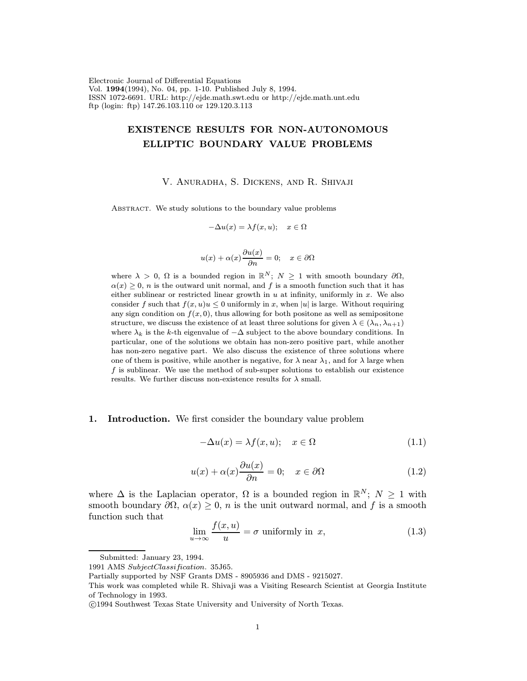Electronic Journal of Differential Equations Vol. 1994(1994), No. 04, pp. 1-10. Published July 8, 1994. ISSN 1072-6691. URL: http://ejde.math.swt.edu or http://ejde.math.unt.edu ftp (login: ftp) 147.26.103.110 or 129.120.3.113

# EXISTENCE RESULTS FOR NON-AUTONOMOUS ELLIPTIC BOUNDARY VALUE PROBLEMS

V. Anuradha, S. Dickens, and R. Shivaji

ABSTRACT. We study solutions to the boundary value problems

$$
-\Delta u(x) = \lambda f(x, u); \quad x \in \Omega
$$

$$
u(x) + \alpha(x)\frac{\partial u(x)}{\partial n} = 0; \quad x \in \partial\Omega
$$

where  $\lambda > 0$ ,  $\Omega$  is a bounded region in  $\mathbb{R}^N$ ;  $N \geq 1$  with smooth boundary  $\partial \Omega$ ,  $\alpha(x) \geq 0$ , *n* is the outward unit normal, and f is a smooth function such that it has either sublinear or restricted linear growth in  $u$  at infinity, uniformly in  $x$ . We also consider f such that  $f(x, u)u \leq 0$  uniformly in x, when |u| is large. Without requiring any sign condition on  $f(x, 0)$ , thus allowing for both positone as well as semipositone structure, we discuss the existence of at least three solutions for given  $\lambda \in (\lambda_n, \lambda_{n+1})$ where  $\lambda_k$  is the k-th eigenvalue of  $-\Delta$  subject to the above boundary conditions. In particular, one of the solutions we obtain has non-zero positive part, while another has non-zero negative part. We also discuss the existence of three solutions where one of them is positive, while another is negative, for  $\lambda$  near  $\lambda_1$ , and for  $\lambda$  large when  $f$  is sublinear. We use the method of sub-super solutions to establish our existence results. We further discuss non-existence results for  $\lambda$  small.

#### 1. Introduction. We first consider the boundary value problem

$$
-\Delta u(x) = \lambda f(x, u); \quad x \in \Omega \tag{1.1}
$$

$$
u(x) + \alpha(x)\frac{\partial u(x)}{\partial n} = 0; \quad x \in \partial\Omega \tag{1.2}
$$

where  $\Delta$  is the Laplacian operator,  $\Omega$  is a bounded region in  $\mathbb{R}^N$ ;  $N \geq 1$  with smooth boundary  $\partial\Omega$ ,  $\alpha(x) \geq 0$ , *n* is the unit outward normal, and f is a smooth function such that

$$
\lim_{u \to \infty} \frac{f(x, u)}{u} = \sigma \text{ uniformly in } x,
$$
\n(1.3)

Submitted: January 23, 1994.

<sup>1991</sup> AMS SubjectClassification. 35J65.

Partially supported by NSF Grants DMS - 8905936 and DMS - 9215027.

This work was completed while R. Shivaji was a Visiting Research Scientist at Georgia Institute of Technology in 1993.

c 1994 Southwest Texas State University and University of North Texas.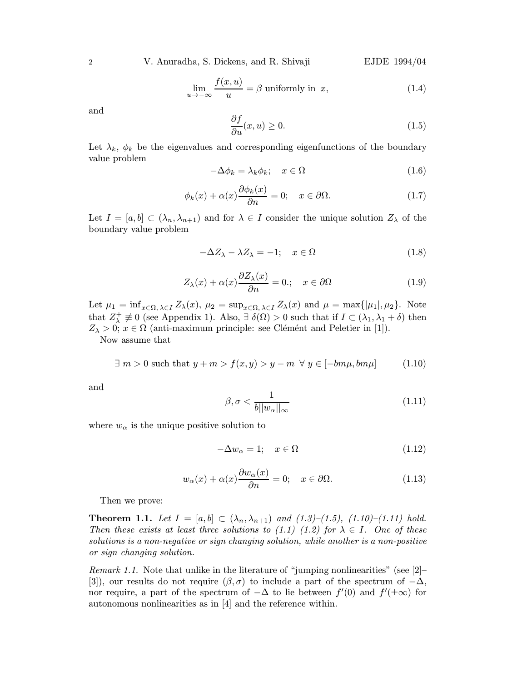2 V. Anuradha, S. Dickens, and R. Shivaji EJDE–1994/04

$$
\lim_{u \to -\infty} \frac{f(x, u)}{u} = \beta \text{ uniformly in } x,
$$
\n(1.4)

and

$$
\frac{\partial f}{\partial u}(x, u) \ge 0. \tag{1.5}
$$

Let  $\lambda_k$ ,  $\phi_k$  be the eigenvalues and corresponding eigenfunctions of the boundary value problem

$$
-\Delta \phi_k = \lambda_k \phi_k; \quad x \in \Omega \tag{1.6}
$$

$$
\phi_k(x) + \alpha(x) \frac{\partial \phi_k(x)}{\partial n} = 0; \quad x \in \partial \Omega.
$$
 (1.7)

Let  $I = [a, b] \subset (\lambda_n, \lambda_{n+1})$  and for  $\lambda \in I$  consider the unique solution  $Z_\lambda$  of the boundary value problem

$$
-\Delta Z_{\lambda} - \lambda Z_{\lambda} = -1; \quad x \in \Omega \tag{1.8}
$$

$$
Z_{\lambda}(x) + \alpha(x) \frac{\partial Z_{\lambda}(x)}{\partial n} = 0.; \quad x \in \partial \Omega \tag{1.9}
$$

Let  $\mu_1 = \inf_{x \in \bar{\Omega}, \lambda \in I} Z_{\lambda}(x)$ ,  $\mu_2 = \sup_{x \in \bar{\Omega}, \lambda \in I} Z_{\lambda}(x)$  and  $\mu = \max\{|\mu_1|, \mu_2\}$ . Note that  $Z_{\lambda}^{+} \neq 0$  (see Appendix 1). Also,  $\exists \delta(\Omega) > 0$  such that if  $I \subset (\lambda_1, \lambda_1 + \delta)$  then  $Z_{\lambda} > 0$ ;  $x \in \Omega$  (anti-maximum principle: see Clémént and Peletier in [1]).

Now assume that

$$
\exists m > 0 \text{ such that } y + m > f(x, y) > y - m \ \forall y \in [-bm\mu, bm\mu]
$$
 (1.10)

and

$$
\beta, \sigma < \frac{1}{b||w_{\alpha}||_{\infty}}\tag{1.11}
$$

where  $w_{\alpha}$  is the unique positive solution to

$$
-\Delta w_{\alpha} = 1; \quad x \in \Omega \tag{1.12}
$$

$$
w_{\alpha}(x) + \alpha(x)\frac{\partial w_{\alpha}(x)}{\partial n} = 0; \quad x \in \partial\Omega.
$$
 (1.13)

Then we prove:

**Theorem 1.1.** Let  $I = [a, b] \subset (\lambda_n, \lambda_{n+1})$  and  $(1.3)$ – $(1.5)$ ,  $(1.10)$ – $(1.11)$  hold. Then these exists at least three solutions to  $(1.1)$ – $(1.2)$  for  $\lambda \in I$ . One of these solutions is a non-negative or sign changing solution, while another is a non-positive or sign changing solution.

Remark 1.1. Note that unlike in the literature of "jumping nonlinearities" (see [2]– [3]), our results do not require  $(\beta, \sigma)$  to include a part of the spectrum of  $-\Delta$ , nor require, a part of the spectrum of  $-\Delta$  to lie between  $f'(0)$  and  $f'(\pm\infty)$  for autonomous nonlinearities as in [4] and the reference within.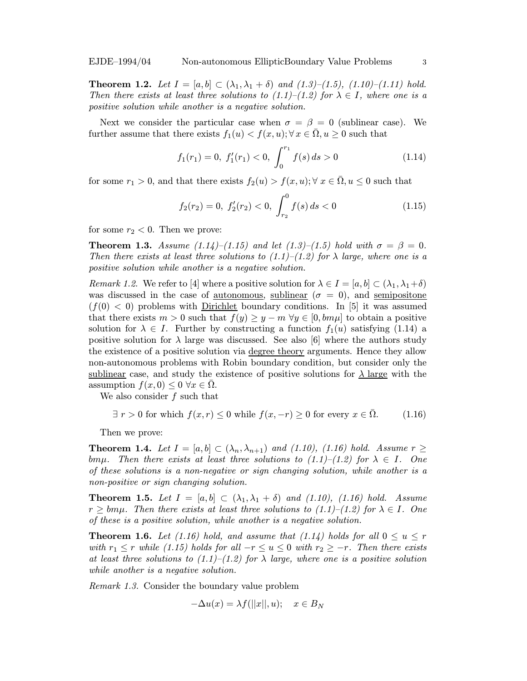**Theorem 1.2.** Let  $I = [a, b] \subset (\lambda_1, \lambda_1 + \delta)$  and  $(1.3)$ – $(1.5)$ ,  $(1.10)$ – $(1.11)$  hold. Then there exists at least three solutions to  $(1.1)$ – $(1.2)$  for  $\lambda \in I$ , where one is a positive solution while another is a negative solution.

Next we consider the particular case when  $\sigma = \beta = 0$  (sublinear case). We further assume that there exists  $f_1(u) < f(x, u)$ ;  $\forall x \in \overline{\Omega}, u \geq 0$  such that

$$
f_1(r_1) = 0, \ f'_1(r_1) < 0, \ \int_0^{r_1} f(s) \, ds > 0 \tag{1.14}
$$

for some  $r_1 > 0$ , and that there exists  $f_2(u) > f(x, u); \forall x \in \Omega, u \leq 0$  such that

$$
f_2(r_2) = 0, \ f'_2(r_2) < 0, \ \int_{r_2}^0 f(s) \, ds < 0 \tag{1.15}
$$

for some  $r_2 < 0$ . Then we prove:

**Theorem 1.3.** Assume (1.14)–(1.15) and let (1.3)–(1.5) hold with  $\sigma = \beta = 0$ . Then there exists at least three solutions to  $(1.1)$ – $(1.2)$  for  $\lambda$  large, where one is a positive solution while another is a negative solution.

Remark 1.2. We refer to [4] where a positive solution for  $\lambda \in I = [a, b] \subset (\lambda_1, \lambda_1 + \delta)$ was discussed in the case of <u>autonomous</u>, sublinear ( $\sigma = 0$ ), and semipositone  $(f(0) < 0)$  problems with Dirichlet boundary conditions. In [5] it was assumed that there exists  $m > 0$  such that  $f(y) \geq y - m \,\forall y \in [0, bm\mu]$  to obtain a positive solution for  $\lambda \in I$ . Further by constructing a function  $f_1(u)$  satisfying (1.14) a positive solution for  $\lambda$  large was discussed. See also [6] where the authors study the existence of a positive solution via degree theory arguments. Hence they allow non-autonomous problems with Robin boundary condition, but consider only the sublinear case, and study the existence of positive solutions for  $\lambda$  large with the assumption  $f(x, 0) \leq 0 \ \forall x \in \Omega$ .

We also consider  $f$  such that

$$
\exists r > 0 \text{ for which } f(x, r) \le 0 \text{ while } f(x, -r) \ge 0 \text{ for every } x \in \overline{\Omega}. \tag{1.16}
$$

Then we prove:

**Theorem 1.4.** Let  $I = [a, b] \subset (\lambda_n, \lambda_{n+1})$  and (1.10), (1.16) hold. Assume  $r \geq$ bm $\mu$ . Then there exists at least three solutions to (1.1)–(1.2) for  $\lambda \in I$ . One of these solutions is a non-negative or sign changing solution, while another is a non-positive or sign changing solution.

**Theorem 1.5.** Let  $I = [a, b] \subset (\lambda_1, \lambda_1 + \delta)$  and (1.10), (1.16) hold. Assume  $r \geq b m \mu$ . Then there exists at least three solutions to (1.1)–(1.2) for  $\lambda \in I$ . One of these is a positive solution, while another is a negative solution.

**Theorem 1.6.** Let (1.16) hold, and assume that (1.14) holds for all  $0 \le u \le r$ with  $r_1 \leq r$  while (1.15) holds for all  $-r \leq u \leq 0$  with  $r_2 \geq -r$ . Then there exists at least three solutions to  $(1.1)$ – $(1.2)$  for  $\lambda$  large, where one is a positive solution while another is a negative solution.

Remark 1.3. Consider the boundary value problem

$$
-\Delta u(x) = \lambda f(||x||, u); \quad x \in B_N
$$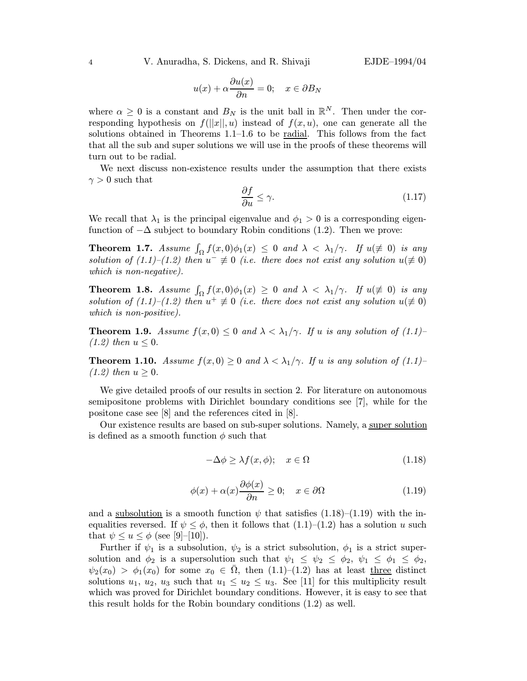4 V. Anuradha, S. Dickens, and R. Shivaji EJDE–1994/04

$$
u(x) + \alpha \frac{\partial u(x)}{\partial n} = 0; \quad x \in \partial B_N
$$

where  $\alpha \geq 0$  is a constant and  $B_N$  is the unit ball in  $\mathbb{R}^N$ . Then under the corresponding hypothesis on  $f(||x||, u)$  instead of  $f(x, u)$ , one can generate all the solutions obtained in Theorems 1.1–1.6 to be radial. This follows from the fact that all the sub and super solutions we will use in the proofs of these theorems will turn out to be radial.

We next discuss non-existence results under the assumption that there exists  $\gamma > 0$  such that

$$
\frac{\partial f}{\partial u} \le \gamma. \tag{1.17}
$$

We recall that  $\lambda_1$  is the principal eigenvalue and  $\phi_1 > 0$  is a corresponding eigenfunction of  $-\Delta$  subject to boundary Robin conditions (1.2). Then we prove:

**Theorem 1.7.** Assume  $\int_{\Omega} f(x, 0)\phi_1(x) \leq 0$  and  $\lambda < \lambda_1/\gamma$ . If  $u(\neq 0)$  is any solution of (1.1)–(1.2) then  $u^- \neq 0$  (i.e. there does not exist any solution  $u(\neq 0)$ which is non-negative).

**Theorem 1.8.** Assume  $\int_{\Omega} f(x,0)\phi_1(x) \geq 0$  and  $\lambda < \lambda_1/\gamma$ . If  $u(\neq 0)$  is any solution of (1.1)–(1.2) then  $u^+ \not\equiv 0$  (i.e. there does not exist any solution  $u(\not\equiv 0)$ which is non-positive).

**Theorem 1.9.** Assume  $f(x, 0) \leq 0$  and  $\lambda < \lambda_1/\gamma$ . If u is any solution of (1.1)–  $(1.2)$  then  $u \leq 0$ .

**Theorem 1.10.** Assume  $f(x, 0) \ge 0$  and  $\lambda < \lambda_1/\gamma$ . If u is any solution of (1.1)–  $(1.2)$  then  $u \geq 0$ .

We give detailed proofs of our results in section 2. For literature on autonomous semipositone problems with Dirichlet boundary conditions see [7], while for the positone case see [8] and the references cited in [8].

Our existence results are based on sub-super solutions. Namely, a super solution is defined as a smooth function  $\phi$  such that

$$
-\Delta \phi \ge \lambda f(x, \phi); \quad x \in \Omega \tag{1.18}
$$

$$
\phi(x) + \alpha(x)\frac{\partial \phi(x)}{\partial n} \ge 0; \quad x \in \partial \Omega \tag{1.19}
$$

and a <u>subsolution</u> is a smooth function  $\psi$  that satisfies (1.18)–(1.19) with the inequalities reversed. If  $\psi \leq \phi$ , then it follows that  $(1.1)$ – $(1.2)$  has a solution u such that  $\psi \leq u \leq \phi$  (see [9]-[10]).

Further if  $\psi_1$  is a subsolution,  $\psi_2$  is a strict subsolution,  $\phi_1$  is a strict supersolution and  $\phi_2$  is a supersolution such that  $\psi_1 \leq \psi_2 \leq \phi_2$ ,  $\psi_1 \leq \phi_1 \leq \phi_2$ ,  $\psi_2(x_0) > \phi_1(x_0)$  for some  $x_0 \in \Omega$ , then  $(1.1)$ – $(1.2)$  has at least three distinct solutions  $u_1, u_2, u_3$  such that  $u_1 \leq u_2 \leq u_3$ . See [11] for this multiplicity result which was proved for Dirichlet boundary conditions. However, it is easy to see that this result holds for the Robin boundary conditions (1.2) as well.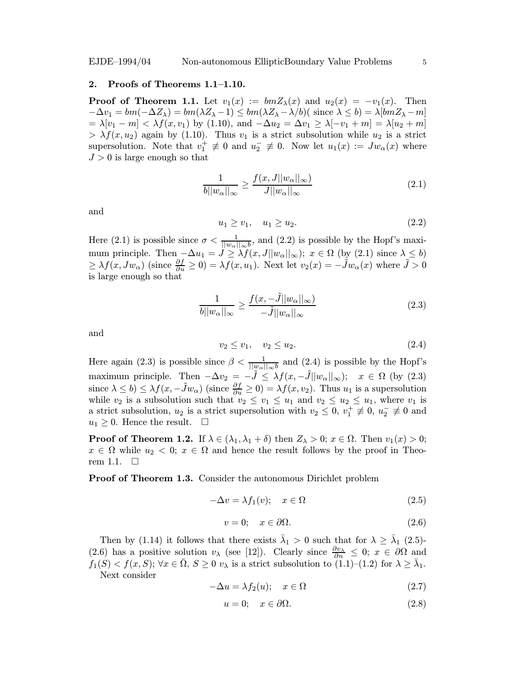### 2. Proofs of Theorems 1.1–1.10.

**Proof of Theorem 1.1.** Let  $v_1(x) := bmZ_\lambda(x)$  and  $u_2(x) = -v_1(x)$ . Then  $-\Delta v_1 = bm(-\Delta Z_\lambda) = bm(\lambda Z_\lambda - 1) \le bm(\lambda Z_\lambda - \lambda/b)$  since  $\lambda \le b$ ) =  $\lambda[bmZ_\lambda - m]$  $= \lambda [v_1 - m] < \lambda f(x, v_1)$  by (1.10), and  $-\Delta u_2 = \Delta v_1 \ge \lambda [-v_1 + m] = \lambda [u_2 + m]$  $> \lambda f(x, u_2)$  again by (1.10). Thus  $v_1$  is a strict subsolution while  $u_2$  is a strict supersolution. Note that  $v_1^+ \neq 0$  and  $u_2^- \neq 0$ . Now let  $u_1(x) := Jw_\alpha(x)$  where  $J > 0$  is large enough so that

$$
\frac{1}{b||w_{\alpha}||_{\infty}} \ge \frac{f(x, J||w_{\alpha}||_{\infty})}{J||w_{\alpha}||_{\infty}}
$$
\n(2.1)

and

$$
u_1 \ge v_1, \quad u_1 \ge u_2. \tag{2.2}
$$

Here (2.1) is possible since  $\sigma < \frac{1}{||w_{\alpha}||_{\infty}b}$ , and (2.2) is possible by the Hopf's maximum principle. Then  $-\Delta u_1 = \bar{J} \geq \lambda f(x, J||w_\alpha||_\infty)$ ;  $x \in \Omega$  (by (2.1) since  $\lambda \leq b$ )  $\geq \lambda f(x, Jw_\alpha)$  (since  $\frac{\partial f}{\partial u} \geq 0$ ) =  $\lambda f(x, u_1)$ . Next let  $v_2(x) = -\tilde{J}w_\alpha(x)$  where  $\tilde{J} > 0$ is large enough so that

$$
\frac{1}{b||w_{\alpha}||_{\infty}} \ge \frac{f(x, -\tilde{J}||w_{\alpha}||_{\infty})}{-\tilde{J}||w_{\alpha}||_{\infty}}
$$
\n(2.3)

and

$$
v_2 \le v_1, \quad v_2 \le u_2. \tag{2.4}
$$

Here again (2.3) is possible since  $\beta < \frac{1}{||w_{\alpha}||_{\infty}b}$  and (2.4) is possible by the Hopf's maximum principle. Then  $-\Delta v_2 = -\tilde{J} \leq \lambda f(x, -\tilde{J}||w_\alpha||_\infty);$   $x \in \Omega$  (by (2.3) since  $\lambda \leq b$ )  $\leq \lambda f(x, -\tilde{J}w_{\alpha})$  (since  $\frac{\partial f}{\partial u} \geq 0$ ) =  $\lambda f(x, v_2)$ . Thus  $u_1$  is a supersolution while  $v_2$  is a subsolution such that  $v_2 \le v_1 \le u_1$  and  $v_2 \le u_2 \le u_1$ , where  $v_1$  is a strict subsolution,  $u_2$  is a strict supersolution with  $v_2 \leq 0$ ,  $v_1^+ \neq 0$ ,  $u_2^- \neq 0$  and  $u_1 \geq 0$ . Hence the result.  $\square$ 

**Proof of Theorem 1.2.** If  $\lambda \in (\lambda_1, \lambda_1 + \delta)$  then  $Z_\lambda > 0$ ;  $x \in \Omega$ . Then  $v_1(x) > 0$ ;  $x \in \Omega$  while  $u_2 < 0$ ;  $x \in \Omega$  and hence the result follows by the proof in Theorem 1.1.  $\square$ 

Proof of Theorem 1.3. Consider the autonomous Dirichlet problem

$$
-\Delta v = \lambda f_1(v); \quad x \in \Omega \tag{2.5}
$$

$$
v = 0; \quad x \in \partial \Omega. \tag{2.6}
$$

Then by (1.14) it follows that there exists  $\bar{\lambda}_1 > 0$  such that for  $\lambda \geq \bar{\lambda}_1$  (2.5)-(2.6) has a positive solution  $v_\lambda$  (see [12]). Clearly since  $\frac{\partial v_\lambda}{\partial n} \leq 0$ ;  $x \in \partial \Omega$  and  $f_1(S) < f(x, S); \forall x \in \overline{\Omega}, S \geq 0 \ v_\lambda$  is a strict subsolution to  $(1.1)$ – $(1.2)$  for  $\lambda \geq \overline{\lambda}_1$ . Next consider

$$
-\Delta u = \lambda f_2(u); \quad x \in \Omega \tag{2.7}
$$

$$
u = 0; \quad x \in \partial \Omega. \tag{2.8}
$$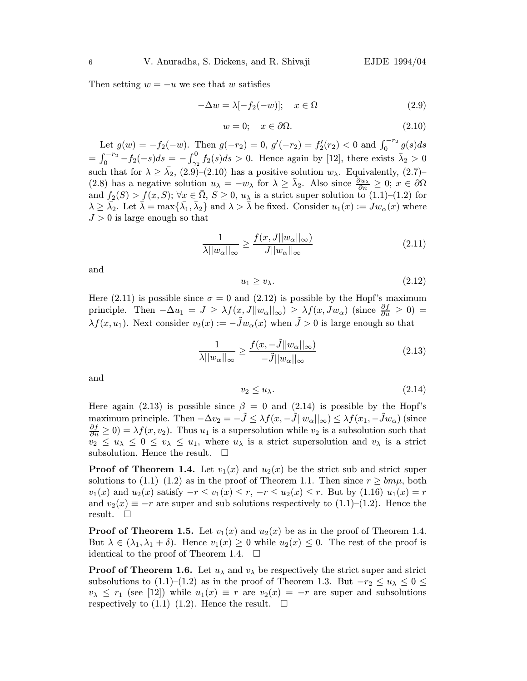Then setting  $w = -u$  we see that w satisfies

$$
-\Delta w = \lambda [-f_2(-w)]; \quad x \in \Omega \tag{2.9}
$$

$$
w = 0; \quad x \in \partial\Omega. \tag{2.10}
$$

Let  $g(w) = -f_2(-w)$ . Then  $g(-r_2) = 0$ ,  $g'(-r_2) = f'_2(r_2) < 0$  and  $\int_0^{-r_2} g(s)ds$  $=\int_0^{-r_2} -f_2(-s)ds = -\int_{\gamma_2}^0 f_2(s)ds > 0.$  Hence again by [12], there exists  $\bar{\lambda}_2 > 0$ such that for  $\lambda \geq \bar{\lambda}_2$ , (2.9)–(2.10) has a positive solution  $w_{\lambda}$ . Equivalently, (2.7)– (2.8) has a negative solution  $u_{\lambda} = -w_{\lambda}$  for  $\lambda \geq \overline{\lambda}_2$ . Also since  $\frac{\partial u_{\lambda}}{\partial n} \geq 0$ ;  $x \in \partial \Omega$ and  $f_2(S) > f(x, S); \forall x \in \overline{\Omega}, S \geq 0, u_\lambda$  is a strict super solution to  $(1.1)$ – $(1.2)$  for  $\lambda \geq \overline{\lambda}_2$ . Let  $\overline{\lambda} = \max\{\overline{\lambda}_1, \overline{\lambda}_2\}$  and  $\lambda > \overline{\lambda}$  be fixed. Consider  $u_1(x) := Jw_\alpha(x)$  where  $J > 0$  is large enough so that

$$
\frac{1}{\lambda||w_{\alpha}||_{\infty}} \ge \frac{f(x,J||w_{\alpha}||_{\infty})}{J||w_{\alpha}||_{\infty}}
$$
\n(2.11)

and

$$
u_1 \ge v_\lambda. \tag{2.12}
$$

Here (2.11) is possible since  $\sigma = 0$  and (2.12) is possible by the Hopf's maximum principle. Then  $-\Delta u_1 = J \geq \lambda f(x, J||w_\alpha||_\infty) \geq \lambda f(x, Jw_\alpha)$  (since  $\frac{\partial f}{\partial u} \geq 0$ ) =  $\lambda f(x, u_1)$ . Next consider  $v_2(x) := -\tilde{J}w_\alpha(x)$  when  $\tilde{J} > 0$  is large enough so that

$$
\frac{1}{\lambda ||w_{\alpha}||_{\infty}} \ge \frac{f(x, -\tilde{J}||w_{\alpha}||_{\infty})}{-\tilde{J}||w_{\alpha}||_{\infty}}
$$
\n(2.13)

and

$$
v_2 \le u_\lambda. \tag{2.14}
$$

Here again (2.13) is possible since  $\beta = 0$  and (2.14) is possible by the Hopf's maximum principle. Then  $-\Delta v_2 = -\tilde{J} \leq \lambda f(x, -\tilde{J}||w_\alpha||_\infty) \leq \lambda f(x_1, -\tilde{J}w_\alpha)$  (since  $\frac{\partial f}{\partial u} \ge 0$ ) =  $\lambda f(x, v_2)$ . Thus  $u_1$  is a supersolution while  $v_2$  is a subsolution such that  $v_2 \leq u_\lambda \leq 0 \leq v_\lambda \leq u_1$ , where  $u_\lambda$  is a strict supersolution and  $v_\lambda$  is a strict subsolution. Hence the result.  $\quad \Box$ 

**Proof of Theorem 1.4.** Let  $v_1(x)$  and  $u_2(x)$  be the strict sub and strict super solutions to  $(1.1)–(1.2)$  as in the proof of Theorem 1.1. Then since  $r \geq b m \mu$ , both  $v_1(x)$  and  $u_2(x)$  satisfy  $-r \le v_1(x) \le r$ ,  $-r \le u_2(x) \le r$ . But by  $(1.16)$   $u_1(x) = r$ and  $v_2(x) \equiv -r$  are super and sub solutions respectively to (1.1)–(1.2). Hence the result.  $\square$ 

**Proof of Theorem 1.5.** Let  $v_1(x)$  and  $u_2(x)$  be as in the proof of Theorem 1.4. But  $\lambda \in (\lambda_1, \lambda_1 + \delta)$ . Hence  $v_1(x) \geq 0$  while  $u_2(x) \leq 0$ . The rest of the proof is identical to the proof of Theorem 1.4.  $\Box$ 

**Proof of Theorem 1.6.** Let  $u_{\lambda}$  and  $v_{\lambda}$  be respectively the strict super and strict subsolutions to (1.1)–(1.2) as in the proof of Theorem 1.3. But  $-r_2 \le u_\lambda \le 0 \le$  $v_{\lambda} \leq r_1$  (see [12]) while  $u_1(x) \equiv r$  are  $v_2(x) = -r$  are super and subsolutions respectively to  $(1.1)$ – $(1.2)$ . Hence the result.  $\Box$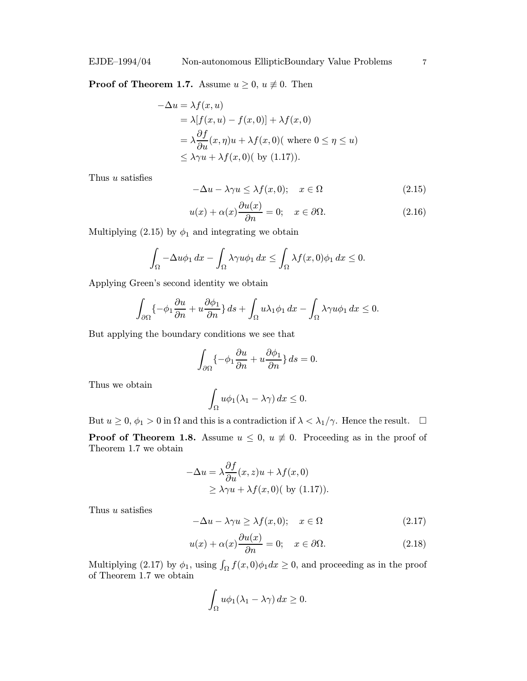## **Proof of Theorem 1.7.** Assume  $u \geq 0$ ,  $u \not\equiv 0$ . Then

$$
-\Delta u = \lambda f(x, u)
$$
  
=  $\lambda [f(x, u) - f(x, 0)] + \lambda f(x, 0)$   
=  $\lambda \frac{\partial f}{\partial u}(x, \eta)u + \lambda f(x, 0)$  (where  $0 \le \eta \le u$ )  
 $\le \lambda \gamma u + \lambda f(x, 0)$  (by (1.17)).

Thus u satisfies

$$
-\Delta u - \lambda \gamma u \le \lambda f(x, 0); \quad x \in \Omega \tag{2.15}
$$

$$
u(x) + \alpha(x)\frac{\partial u(x)}{\partial n} = 0; \quad x \in \partial\Omega.
$$
 (2.16)

Multiplying (2.15) by  $\phi_1$  and integrating we obtain

$$
\int_{\Omega} -\Delta u \phi_1 \, dx - \int_{\Omega} \lambda \gamma u \phi_1 \, dx \le \int_{\Omega} \lambda f(x,0) \phi_1 \, dx \le 0.
$$

Applying Green's second identity we obtain

$$
\int_{\partial\Omega} \{-\phi_1 \frac{\partial u}{\partial n} + u \frac{\partial \phi_1}{\partial n}\} ds + \int_{\Omega} u \lambda_1 \phi_1 dx - \int_{\Omega} \lambda \gamma u \phi_1 dx \leq 0.
$$

But applying the boundary conditions we see that

$$
\int_{\partial\Omega}\{-\phi_1\frac{\partial u}{\partial n}+u\frac{\partial \phi_1}{\partial n}\}\,ds=0.
$$

Thus we obtain

$$
\int_{\Omega} u \phi_1(\lambda_1 - \lambda \gamma) dx \le 0.
$$

But  $u \geq 0$ ,  $\phi_1 > 0$  in  $\Omega$  and this is a contradiction if  $\lambda < \lambda_1/\gamma$ . Hence the result.  $\Box$ 

**Proof of Theorem 1.8.** Assume  $u \leq 0$ ,  $u \neq 0$ . Proceeding as in the proof of Theorem 1.7 we obtain

$$
-\Delta u = \lambda \frac{\partial f}{\partial u}(x, z)u + \lambda f(x, 0)
$$
  
\n
$$
\geq \lambda \gamma u + \lambda f(x, 0) \text{ (by (1.17))}.
$$

Thus u satisfies

$$
-\Delta u - \lambda \gamma u \ge \lambda f(x, 0); \quad x \in \Omega \tag{2.17}
$$

$$
u(x) + \alpha(x)\frac{\partial u(x)}{\partial n} = 0; \quad x \in \partial\Omega.
$$
 (2.18)

Multiplying (2.17) by  $\phi_1$ , using  $\int_{\Omega} f(x, 0)\phi_1 dx \geq 0$ , and proceeding as in the proof of Theorem 1.7 we obtain

$$
\int_{\Omega} u \phi_1(\lambda_1 - \lambda \gamma) dx \ge 0.
$$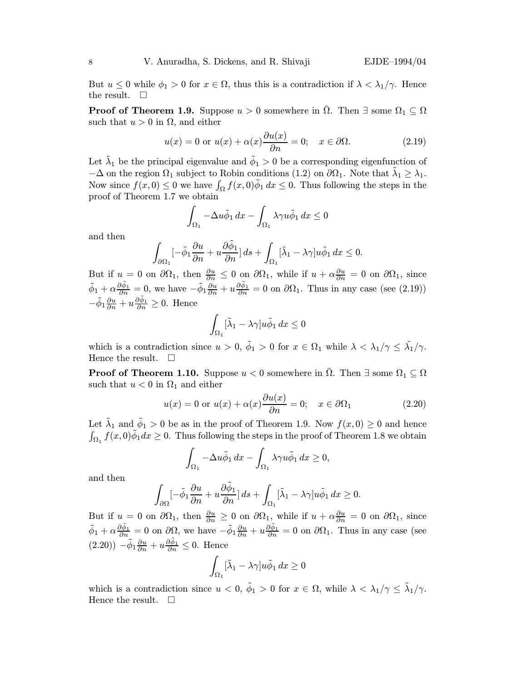But  $u \leq 0$  while  $\phi_1 > 0$  for  $x \in \Omega$ , thus this is a contradiction if  $\lambda < \lambda_1/\gamma$ . Hence the result.  $\square$ 

**Proof of Theorem 1.9.** Suppose  $u > 0$  somewhere in  $\Omega$ . Then  $\exists$  some  $\Omega_1 \subseteq \Omega$ such that  $u > 0$  in  $\Omega$ , and either

$$
u(x) = 0 \text{ or } u(x) + \alpha(x) \frac{\partial u(x)}{\partial n} = 0; \quad x \in \partial \Omega. \tag{2.19}
$$

Let  $\tilde{\lambda}_1$  be the principal eigenvalue and  $\tilde{\phi}_1 > 0$  be a corresponding eigenfunction of  $-\Delta$  on the region  $\Omega_1$  subject to Robin conditions (1.2) on  $\partial\Omega_1$ . Note that  $\lambda_1 \geq \lambda_1$ . Now since  $f(x, 0) \leq 0$  we have  $\int_{\Omega} f(x, 0)\tilde{\phi}_1 dx \leq 0$ . Thus following the steps in the proof of Theorem 1.7 we obtain

$$
\int_{\Omega_1} -\Delta u \tilde{\phi}_1 \, dx - \int_{\Omega_1} \lambda \gamma u \tilde{\phi}_1 \, dx \le 0
$$

and then

$$
\int_{\partial \Omega_1}[-\tilde \phi_1 \frac{\partial u}{\partial n}+u \frac{\partial \tilde \phi_1}{\partial n}]\, ds+\int_{\Omega_1}[\tilde \lambda_1-\lambda \gamma] u \tilde \phi_1 \, dx \leq 0.
$$

But if  $u = 0$  on  $\partial\Omega_1$ , then  $\frac{\partial u}{\partial n} \leq 0$  on  $\partial\Omega_1$ , while if  $u + \alpha \frac{\partial u}{\partial n} = 0$  on  $\partial\Omega_1$ , since  $\tilde{\phi}_1 + \alpha \frac{\partial \tilde{\phi}_1}{\partial n} = 0$ , we have  $-\tilde{\phi}_1 \frac{\partial u}{\partial n} + u \frac{\partial \tilde{\phi}_1}{\partial n} = 0$  on  $\partial \Omega_1$ . Thus in any case (see (2.19))  $-\tilde{\phi}_1 \frac{\partial u}{\partial n} + u \frac{\partial \tilde{\phi}_1}{\partial n} \geq 0$ . Hence

$$
\int_{\Omega_1} [\tilde{\lambda}_1 - \lambda \gamma] u \tilde{\phi}_1 dx \le 0
$$

which is a contradiction since  $u > 0$ ,  $\tilde{\phi}_1 > 0$  for  $x \in \Omega_1$  while  $\lambda < \lambda_1/\gamma \leq \tilde{\lambda_1}/\gamma$ . Hence the result.  $\square$ 

**Proof of Theorem 1.10.** Suppose  $u < 0$  somewhere in  $\overline{\Omega}$ . Then  $\exists$  some  $\Omega_1 \subseteq \Omega$ such that  $u < 0$  in  $\Omega_1$  and either

$$
u(x) = 0 \text{ or } u(x) + \alpha(x) \frac{\partial u(x)}{\partial n} = 0; \quad x \in \partial \Omega_1 \tag{2.20}
$$

Let  $\tilde{\lambda}_1$  and  $\tilde{\phi}_1 > 0$  be as in the proof of Theorem 1.9. Now  $f(x, 0) \geq 0$  and hence  $\int_{\Omega_1} f(x,0)\tilde{\phi}_1 dx \geq 0$ . Thus following the steps in the proof of Theorem 1.8 we obtain

$$
\int_{\Omega_1} -\Delta u \tilde{\phi}_1 \, dx - \int_{\Omega_1} \lambda \gamma u \tilde{\phi}_1 \, dx \ge 0,
$$

and then

$$
\int_{\partial\Omega} \left[-\tilde{\phi}_1 \frac{\partial u}{\partial n} + u \frac{\partial \tilde{\phi}_1}{\partial n}\right] ds + \int_{\Omega_1} [\tilde{\lambda}_1 - \lambda \gamma] u \tilde{\phi}_1 dx \ge 0.
$$

But if  $u = 0$  on  $\partial\Omega_1$ , then  $\frac{\partial u}{\partial n} \geq 0$  on  $\partial\Omega_1$ , while if  $u + \alpha \frac{\partial u}{\partial n} = 0$  on  $\partial\Omega_1$ , since  $\tilde{\phi}_1 + \alpha \frac{\partial \tilde{\phi}_1}{\partial n} = 0$  on  $\partial \Omega$ , we have  $-\tilde{\phi}_1 \frac{\partial u}{\partial n} + u \frac{\partial \tilde{\phi}_1}{\partial n} = 0$  on  $\partial \Omega_1$ . Thus in any case (see  $(2.20)) - \tilde{\phi}_1 \frac{\partial u}{\partial n} + u \frac{\partial \tilde{\phi}_1}{\partial n} \leq 0$ . Hence

$$
\int_{\Omega_1} [\tilde{\lambda}_1 - \lambda \gamma] u \tilde{\phi}_1 dx \ge 0
$$

which is a contradiction since  $u < 0$ ,  $\tilde{\phi}_1 > 0$  for  $x \in \Omega$ , while  $\lambda < \lambda_1/\gamma \leq \tilde{\lambda}_1/\gamma$ . Hence the result.  $\square$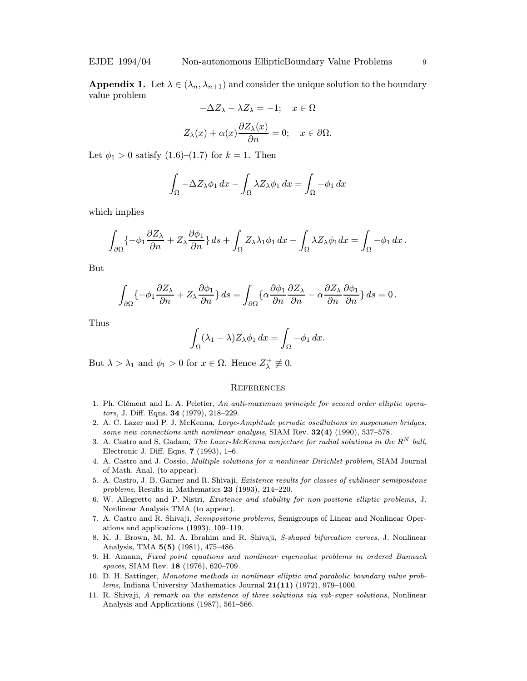**Appendix 1.** Let  $\lambda \in (\lambda_n, \lambda_{n+1})$  and consider the unique solution to the boundary value problem

$$
-\Delta Z_{\lambda} - \lambda Z_{\lambda} = -1; \quad x \in \Omega
$$
  

$$
Z_{\lambda}(x) + \alpha(x) \frac{\partial Z_{\lambda}(x)}{\partial n} = 0; \quad x \in \partial \Omega.
$$

Let  $\phi_1 > 0$  satisfy  $(1.6)$ – $(1.7)$  for  $k = 1$ . Then

$$
\int_{\Omega} -\Delta Z_{\lambda} \phi_1 \, dx - \int_{\Omega} \lambda Z_{\lambda} \phi_1 \, dx = \int_{\Omega} -\phi_1 \, dx
$$

which implies

$$
\int_{\partial\Omega} \{-\phi_1 \frac{\partial Z_\lambda}{\partial n} + Z_\lambda \frac{\partial \phi_1}{\partial n} \} ds + \int_{\Omega} Z_\lambda \lambda_1 \phi_1 dx - \int_{\Omega} \lambda Z_\lambda \phi_1 dx = \int_{\Omega} -\phi_1 dx.
$$

But

$$
\int_{\partial\Omega} \{-\phi_1 \frac{\partial Z_\lambda}{\partial n} + Z_\lambda \frac{\partial \phi_1}{\partial n} \} ds = \int_{\partial\Omega} \{\alpha \frac{\partial \phi_1}{\partial n} \frac{\partial Z_\lambda}{\partial n} - \alpha \frac{\partial Z_\lambda}{\partial n} \frac{\partial \phi_1}{\partial n} \} ds = 0.
$$

Thus

$$
\int_{\Omega} (\lambda_1 - \lambda) Z_{\lambda} \phi_1 dx = \int_{\Omega} -\phi_1 dx.
$$

But  $\lambda > \lambda_1$  and  $\phi_1 > 0$  for  $x \in \Omega$ . Hence  $Z_{\lambda}^+ \neq 0$ .

### **REFERENCES**

- 1. Ph. Clément and L. A. Peletier, An anti-maximum principle for second order elliptic operators, J. Diff. Eqns. 34 (1979), 218–229.
- 2. A. C. Lazer and P. J. McKenna, Large-Amplitude periodic oscillations in suspension bridges: some new connections with nonlinear analysis, SIAM Rev.  $32(4)$  (1990), 537–578.
- 3. A. Castro and S. Gadam, The Lazer-McKenna conjecture for radial solutions in the  $R^N$  ball, Electronic J. Diff. Eqns. 7 (1993), 1–6.
- 4. A. Castro and J. Cossio, Multiple solutions for a nonlinear Dirichlet problem, SIAM Journal of Math. Anal. (to appear).
- 5. A. Castro, J. B. Garner and R. Shivaji, Existence results for classes of sublinear semipositone problems, Results in Mathematics 23 (1993), 214–220.
- 6. W. Allegretto and P. Nistri, Existence and stability for non-positone elliptic problems, J. Nonlinear Analysis TMA (to appear).
- 7. A. Castro and R. Shivaji, Semipositone problems, Semigroups of Linear and Nonlinear Operations and applications (1993), 109–119.
- 8. K. J. Brown, M. M. A. Ibrahim and R. Shivaji, S-shaped bifurcation curves, J. Nonlinear Analysis, TMA 5(5) (1981), 475–486.
- 9. H. Amann, Fixed point equations and nonlinear eigenvalue problems in ordered Bannach spaces, SIAM Rev. 18 (1976), 620–709.
- 10. D. H. Sattinger, Monotone methods in nonlinear elliptic and parabolic boundary value problems, Indiana University Mathematics Journal  $21(11)$  (1972), 979-1000.
- 11. R. Shivaji, A remark on the existence of three solutions via sub-super solutions, Nonlinear Analysis and Applications (1987), 561–566.